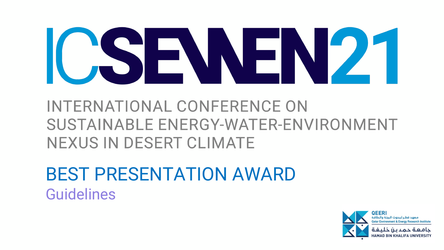

INTERNATIONAL CONFERENCE ON SUSTAINABLE ENERGY-WATER-ENVIRONMENT NEXUS IN DESERT CLIMATE

BEST PRESENTATION AWARD Guidelines



ìEERI

خلىفتة **HAMAD BIN KHALI**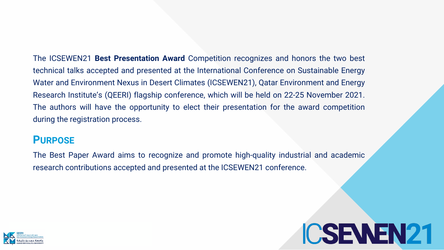

# ICSEWEN21

The ICSEWEN21 **Best Presentation Award** Competition recognizes and honors the two best technical talks accepted and presented at the International Conference on Sustainable Energy Water and Environment Nexus in Desert Climates (ICSEWEN21), Qatar Environment and Energy Research Institute's (QEERI) flagship conference, which will be held on 22-25 November 2021. The authors will have the opportunity to elect their presentation for the award competition during the registration process.

#### **PURPOSE**

The Best Paper Award aims to recognize and promote high-quality industrial and academic research contributions accepted and presented at the ICSEWEN21 conference.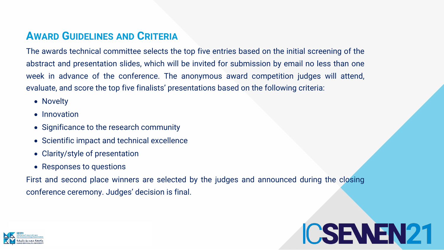

# ICSEWEN21

### **AWARD GUIDELINES AND CRITERIA**

The awards technical committee selects the top five entries based on the initial screening of the abstract and presentation slides, which will be invited for submission by email no less than one week in advance of the conference. The anonymous award competition judges will attend, evaluate, and score the top five finalists' presentations based on the following criteria:

- Novelty
- Innovation
- Significance to the research community
- Scientific impact and technical excellence
- Clarity/style of presentation
- Responses to questions

First and second place winners are selected by the judges and announced during the closing conference ceremony. Judges' decision is final.